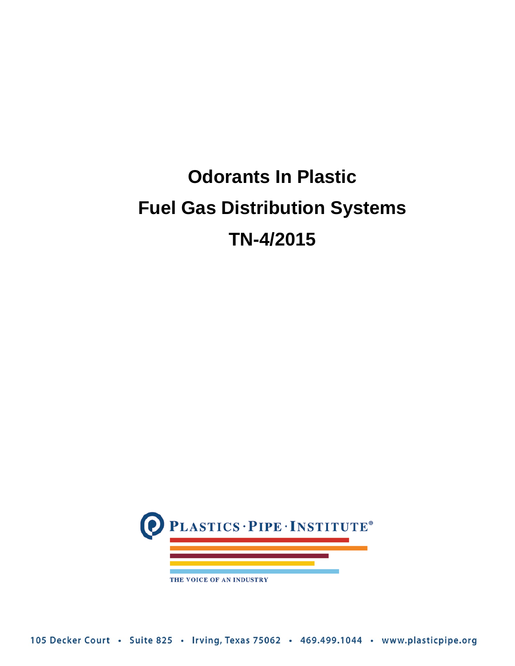# **Odorants In Plastic Fuel Gas Distribution Systems TN-4/2015**

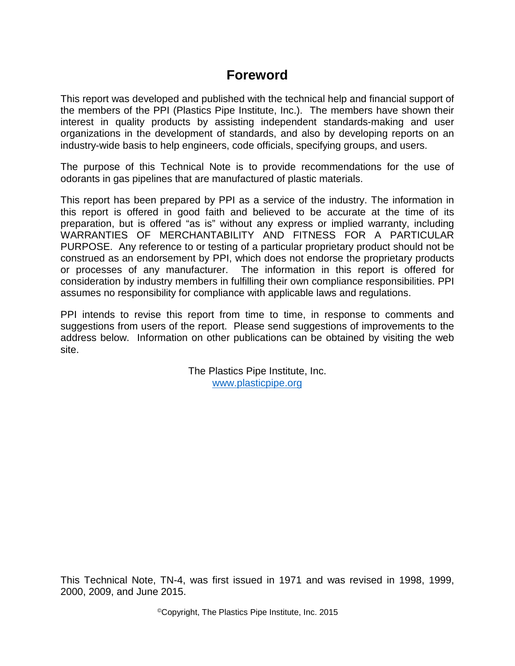## **Foreword**

This report was developed and published with the technical help and financial support of the members of the PPI (Plastics Pipe Institute, Inc.). The members have shown their interest in quality products by assisting independent standards-making and user organizations in the development of standards, and also by developing reports on an industry-wide basis to help engineers, code officials, specifying groups, and users.

The purpose of this Technical Note is to provide recommendations for the use of odorants in gas pipelines that are manufactured of plastic materials.

This report has been prepared by PPI as a service of the industry. The information in this report is offered in good faith and believed to be accurate at the time of its preparation, but is offered "as is" without any express or implied warranty, including WARRANTIES OF MERCHANTABILITY AND FITNESS FOR A PARTICULAR PURPOSE. Any reference to or testing of a particular proprietary product should not be construed as an endorsement by PPI, which does not endorse the proprietary products or processes of any manufacturer. The information in this report is offered for consideration by industry members in fulfilling their own compliance responsibilities. PPI assumes no responsibility for compliance with applicable laws and regulations.

PPI intends to revise this report from time to time, in response to comments and suggestions from users of the report. Please send suggestions of improvements to the address below. Information on other publications can be obtained by visiting the web site.

> The Plastics Pipe Institute, Inc. www.plasticpipe.org

This Technical Note, TN-4, was first issued in 1971 and was revised in 1998, 1999, 2000, 2009, and June 2015.